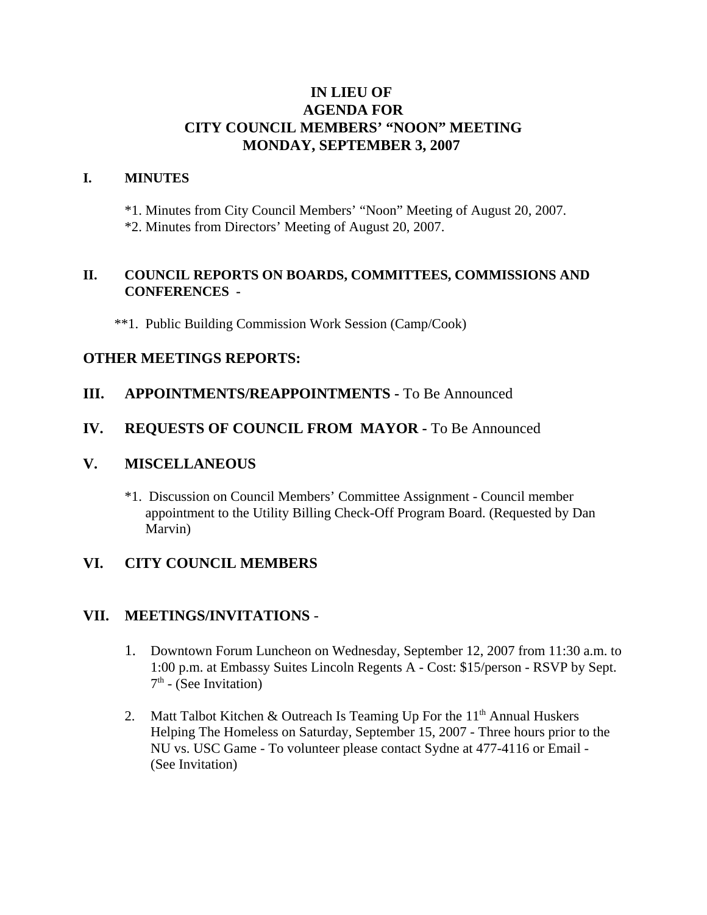# **IN LIEU OF AGENDA FOR CITY COUNCIL MEMBERS' "NOON" MEETING MONDAY, SEPTEMBER 3, 2007**

### **I. MINUTES**

\*1. Minutes from City Council Members' "Noon" Meeting of August 20, 2007. \*2. Minutes from Directors' Meeting of August 20, 2007.

#### **II. COUNCIL REPORTS ON BOARDS, COMMITTEES, COMMISSIONS AND CONFERENCES -**

\*\*1. Public Building Commission Work Session (Camp/Cook)

### **OTHER MEETINGS REPORTS:**

### **III.** APPOINTMENTS/REAPPOINTMENTS - To Be Announced

### **IV. REQUESTS OF COUNCIL FROM MAYOR -** To Be Announced

### **V. MISCELLANEOUS**

\*1. Discussion on Council Members' Committee Assignment - Council member appointment to the Utility Billing Check-Off Program Board. (Requested by Dan Marvin)

## **VI. CITY COUNCIL MEMBERS**

### **VII. MEETINGS/INVITATIONS** -

- 1. Downtown Forum Luncheon on Wednesday, September 12, 2007 from 11:30 a.m. to 1:00 p.m. at Embassy Suites Lincoln Regents A - Cost: \$15/person - RSVP by Sept.  $7<sup>th</sup>$  - (See Invitation)
- 2. Matt Talbot Kitchen & Outreach Is Teaming Up For the  $11<sup>th</sup>$  Annual Huskers Helping The Homeless on Saturday, September 15, 2007 - Three hours prior to the NU vs. USC Game - To volunteer please contact Sydne at 477-4116 or Email - (See Invitation)